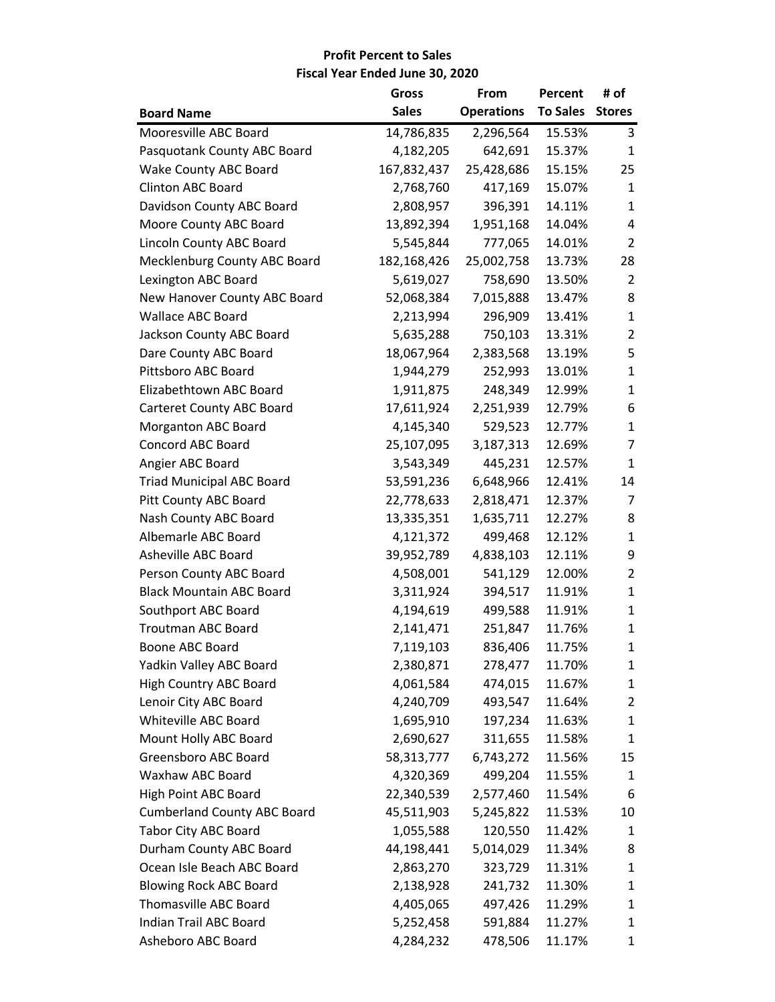|                                    | Gross        | From              | Percent         | # of           |
|------------------------------------|--------------|-------------------|-----------------|----------------|
| <b>Board Name</b>                  | <b>Sales</b> | <b>Operations</b> | <b>To Sales</b> | <b>Stores</b>  |
| Mooresville ABC Board              | 14,786,835   | 2,296,564         | 15.53%          | 3              |
| Pasquotank County ABC Board        | 4,182,205    | 642,691           | 15.37%          | 1              |
| <b>Wake County ABC Board</b>       | 167,832,437  | 25,428,686        | 15.15%          | 25             |
| <b>Clinton ABC Board</b>           | 2,768,760    | 417,169           | 15.07%          | 1              |
| Davidson County ABC Board          | 2,808,957    | 396,391           | 14.11%          | 1              |
| Moore County ABC Board             | 13,892,394   | 1,951,168         | 14.04%          | 4              |
| Lincoln County ABC Board           | 5,545,844    | 777,065           | 14.01%          | 2              |
| Mecklenburg County ABC Board       | 182,168,426  | 25,002,758        | 13.73%          | 28             |
| Lexington ABC Board                | 5,619,027    | 758,690           | 13.50%          | 2              |
| New Hanover County ABC Board       | 52,068,384   | 7,015,888         | 13.47%          | 8              |
| <b>Wallace ABC Board</b>           | 2,213,994    | 296,909           | 13.41%          | 1              |
| Jackson County ABC Board           | 5,635,288    | 750,103           | 13.31%          | $\overline{2}$ |
| Dare County ABC Board              | 18,067,964   | 2,383,568         | 13.19%          | 5              |
| Pittsboro ABC Board                | 1,944,279    | 252,993           | 13.01%          | $\mathbf{1}$   |
| Elizabethtown ABC Board            | 1,911,875    | 248,349           | 12.99%          | $\mathbf{1}$   |
| <b>Carteret County ABC Board</b>   | 17,611,924   | 2,251,939         | 12.79%          | 6              |
| <b>Morganton ABC Board</b>         | 4,145,340    | 529,523           | 12.77%          | 1              |
| <b>Concord ABC Board</b>           | 25,107,095   | 3,187,313         | 12.69%          | 7              |
| Angier ABC Board                   | 3,543,349    | 445,231           | 12.57%          | $\mathbf{1}$   |
| <b>Triad Municipal ABC Board</b>   | 53,591,236   | 6,648,966         | 12.41%          | 14             |
| Pitt County ABC Board              | 22,778,633   | 2,818,471         | 12.37%          | 7              |
| Nash County ABC Board              | 13,335,351   | 1,635,711         | 12.27%          | 8              |
| Albemarle ABC Board                | 4,121,372    | 499,468           | 12.12%          | 1              |
| Asheville ABC Board                | 39,952,789   | 4,838,103         | 12.11%          | 9              |
| Person County ABC Board            | 4,508,001    | 541,129           | 12.00%          | $\overline{2}$ |
| <b>Black Mountain ABC Board</b>    | 3,311,924    | 394,517           | 11.91%          | 1              |
| Southport ABC Board                | 4,194,619    | 499,588           | 11.91%          | $\mathbf{1}$   |
| <b>Troutman ABC Board</b>          | 2,141,471    | 251,847           | 11.76%          | 1              |
| Boone ABC Board                    | 7,119,103    | 836,406           | 11.75%          | $\mathbf{1}$   |
| Yadkin Valley ABC Board            | 2,380,871    | 278,477           | 11.70%          | 1              |
| <b>High Country ABC Board</b>      | 4,061,584    | 474,015           | 11.67%          | 1              |
| Lenoir City ABC Board              | 4,240,709    | 493,547           | 11.64%          | 2              |
| Whiteville ABC Board               | 1,695,910    | 197,234           | 11.63%          | $\mathbf{1}$   |
| Mount Holly ABC Board              | 2,690,627    | 311,655           | 11.58%          | 1              |
| Greensboro ABC Board               | 58,313,777   | 6,743,272         | 11.56%          | 15             |
| Waxhaw ABC Board                   | 4,320,369    | 499,204           | 11.55%          | 1              |
| High Point ABC Board               | 22,340,539   | 2,577,460         | 11.54%          | 6              |
| <b>Cumberland County ABC Board</b> | 45,511,903   | 5,245,822         | 11.53%          | 10             |
| <b>Tabor City ABC Board</b>        | 1,055,588    | 120,550           | 11.42%          | 1              |
| Durham County ABC Board            | 44,198,441   | 5,014,029         | 11.34%          | 8              |
| Ocean Isle Beach ABC Board         | 2,863,270    | 323,729           | 11.31%          | 1              |
| <b>Blowing Rock ABC Board</b>      | 2,138,928    | 241,732           | 11.30%          | 1              |
| <b>Thomasville ABC Board</b>       | 4,405,065    | 497,426           | 11.29%          | 1              |
| Indian Trail ABC Board             | 5,252,458    | 591,884           | 11.27%          | 1              |
| Asheboro ABC Board                 | 4,284,232    | 478,506           | 11.17%          | 1              |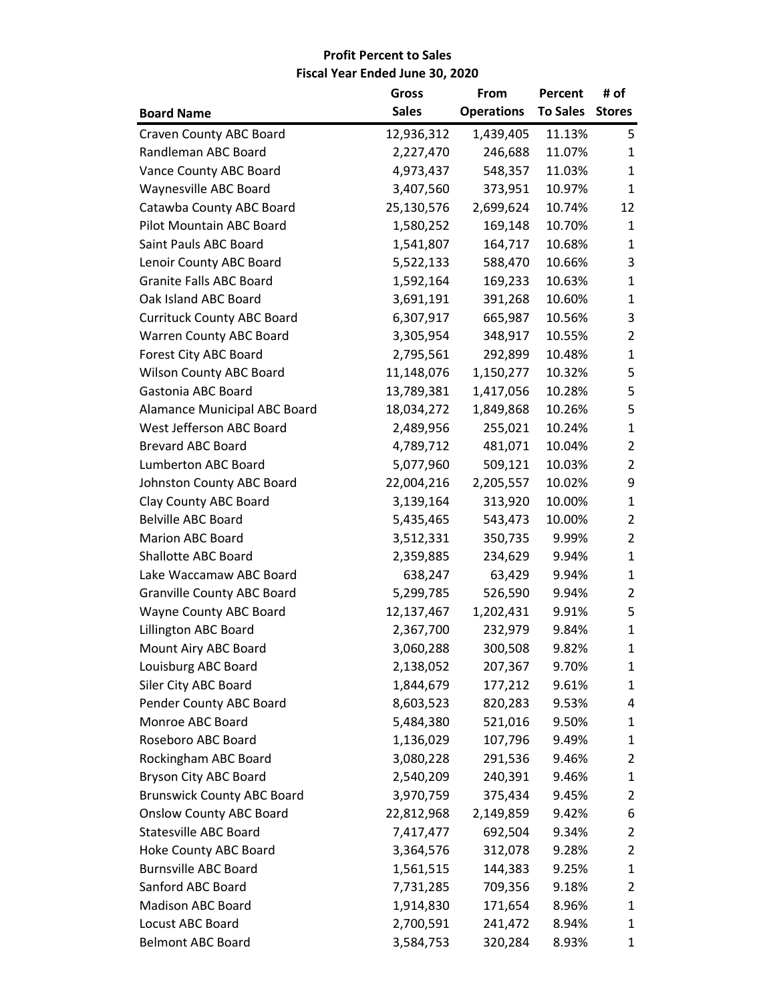|                                   | <b>Gross</b> | From              | Percent         | # of           |
|-----------------------------------|--------------|-------------------|-----------------|----------------|
| <b>Board Name</b>                 | <b>Sales</b> | <b>Operations</b> | To Sales Stores |                |
| Craven County ABC Board           | 12,936,312   | 1,439,405         | 11.13%          | 5              |
| Randleman ABC Board               | 2,227,470    | 246,688           | 11.07%          | 1              |
| Vance County ABC Board            | 4,973,437    | 548,357           | 11.03%          | $\mathbf{1}$   |
| Waynesville ABC Board             | 3,407,560    | 373,951           | 10.97%          | $\mathbf{1}$   |
| Catawba County ABC Board          | 25,130,576   | 2,699,624         | 10.74%          | 12             |
| Pilot Mountain ABC Board          | 1,580,252    | 169,148           | 10.70%          | $\mathbf{1}$   |
| Saint Pauls ABC Board             | 1,541,807    | 164,717           | 10.68%          | 1              |
| Lenoir County ABC Board           | 5,522,133    | 588,470           | 10.66%          | 3              |
| <b>Granite Falls ABC Board</b>    | 1,592,164    | 169,233           | 10.63%          | $\mathbf{1}$   |
| Oak Island ABC Board              | 3,691,191    | 391,268           | 10.60%          | $\mathbf{1}$   |
| <b>Currituck County ABC Board</b> | 6,307,917    | 665,987           | 10.56%          | 3              |
| Warren County ABC Board           | 3,305,954    | 348,917           | 10.55%          | $\overline{2}$ |
| Forest City ABC Board             | 2,795,561    | 292,899           | 10.48%          | $\mathbf{1}$   |
| Wilson County ABC Board           | 11,148,076   | 1,150,277         | 10.32%          | 5              |
| Gastonia ABC Board                | 13,789,381   | 1,417,056         | 10.28%          | 5              |
| Alamance Municipal ABC Board      | 18,034,272   | 1,849,868         | 10.26%          | 5              |
| West Jefferson ABC Board          | 2,489,956    | 255,021           | 10.24%          | $\mathbf{1}$   |
| <b>Brevard ABC Board</b>          | 4,789,712    | 481,071           | 10.04%          | $\overline{2}$ |
| Lumberton ABC Board               | 5,077,960    | 509,121           | 10.03%          | $\overline{2}$ |
| Johnston County ABC Board         | 22,004,216   | 2,205,557         | 10.02%          | 9              |
| Clay County ABC Board             | 3,139,164    | 313,920           | 10.00%          | $\mathbf{1}$   |
| <b>Belville ABC Board</b>         | 5,435,465    | 543,473           | 10.00%          | $\overline{2}$ |
| <b>Marion ABC Board</b>           | 3,512,331    | 350,735           | 9.99%           | 2              |
| Shallotte ABC Board               | 2,359,885    | 234,629           | 9.94%           | $\mathbf{1}$   |
| Lake Waccamaw ABC Board           | 638,247      | 63,429            | 9.94%           | $\mathbf{1}$   |
| <b>Granville County ABC Board</b> | 5,299,785    | 526,590           | 9.94%           | 2              |
| Wayne County ABC Board            | 12,137,467   | 1,202,431         | 9.91%           | 5              |
| Lillington ABC Board              | 2,367,700    | 232,979           | 9.84%           | $\mathbf{1}$   |
| Mount Airy ABC Board              | 3,060,288    | 300,508           | 9.82%           | 1              |
| Louisburg ABC Board               | 2,138,052    | 207,367           | 9.70%           | $\mathbf{1}$   |
| Siler City ABC Board              | 1,844,679    | 177,212           | 9.61%           | 1              |
| Pender County ABC Board           | 8,603,523    | 820,283           | 9.53%           | 4              |
| Monroe ABC Board                  | 5,484,380    | 521,016           | 9.50%           | 1              |
| Roseboro ABC Board                | 1,136,029    | 107,796           | 9.49%           | 1              |
| Rockingham ABC Board              | 3,080,228    | 291,536           | 9.46%           | 2              |
| Bryson City ABC Board             | 2,540,209    | 240,391           | 9.46%           | 1              |
| <b>Brunswick County ABC Board</b> | 3,970,759    | 375,434           | 9.45%           | 2              |
| <b>Onslow County ABC Board</b>    | 22,812,968   | 2,149,859         | 9.42%           | 6              |
| <b>Statesville ABC Board</b>      | 7,417,477    | 692,504           | 9.34%           | 2              |
| <b>Hoke County ABC Board</b>      | 3,364,576    | 312,078           | 9.28%           | 2              |
| <b>Burnsville ABC Board</b>       | 1,561,515    | 144,383           | 9.25%           | 1              |
| Sanford ABC Board                 | 7,731,285    | 709,356           | 9.18%           | 2              |
| Madison ABC Board                 | 1,914,830    | 171,654           | 8.96%           | 1              |
| Locust ABC Board                  | 2,700,591    | 241,472           | 8.94%           | 1              |
| <b>Belmont ABC Board</b>          | 3,584,753    | 320,284           | 8.93%           | 1              |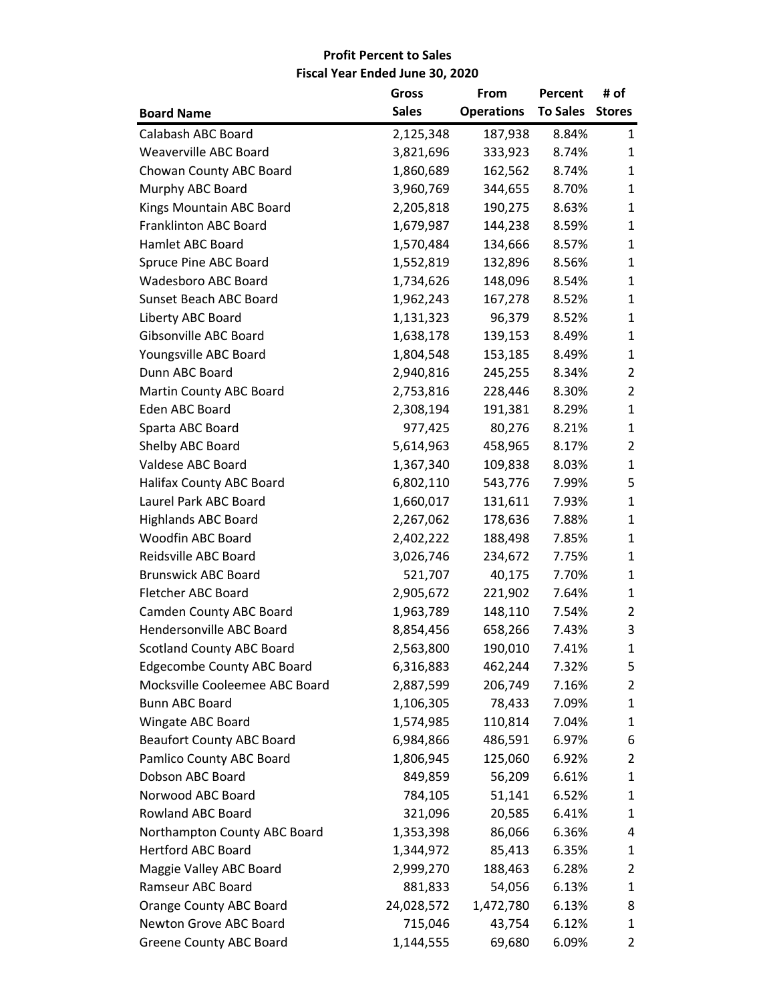|                                   | Gross        | From              | Percent         | # of           |
|-----------------------------------|--------------|-------------------|-----------------|----------------|
| <b>Board Name</b>                 | <b>Sales</b> | <b>Operations</b> | To Sales Stores |                |
| Calabash ABC Board                | 2,125,348    | 187,938           | 8.84%           | $\mathbf{1}$   |
| <b>Weaverville ABC Board</b>      | 3,821,696    | 333,923           | 8.74%           | 1              |
| Chowan County ABC Board           | 1,860,689    | 162,562           | 8.74%           | 1              |
| Murphy ABC Board                  | 3,960,769    | 344,655           | 8.70%           | $\mathbf{1}$   |
| Kings Mountain ABC Board          | 2,205,818    | 190,275           | 8.63%           | $\mathbf{1}$   |
| Franklinton ABC Board             | 1,679,987    | 144,238           | 8.59%           | $\mathbf{1}$   |
| Hamlet ABC Board                  | 1,570,484    | 134,666           | 8.57%           | 1              |
| Spruce Pine ABC Board             | 1,552,819    | 132,896           | 8.56%           | 1              |
| <b>Wadesboro ABC Board</b>        | 1,734,626    | 148,096           | 8.54%           | 1              |
| Sunset Beach ABC Board            | 1,962,243    | 167,278           | 8.52%           | $\mathbf{1}$   |
| Liberty ABC Board                 | 1,131,323    | 96,379            | 8.52%           | $\mathbf{1}$   |
| Gibsonville ABC Board             | 1,638,178    | 139,153           | 8.49%           | 1              |
| Youngsville ABC Board             | 1,804,548    | 153,185           | 8.49%           | 1              |
| Dunn ABC Board                    | 2,940,816    | 245,255           | 8.34%           | $\overline{2}$ |
| Martin County ABC Board           | 2,753,816    | 228,446           | 8.30%           | $\overline{2}$ |
| Eden ABC Board                    | 2,308,194    | 191,381           | 8.29%           | $\mathbf{1}$   |
| Sparta ABC Board                  | 977,425      | 80,276            | 8.21%           | $\mathbf{1}$   |
| Shelby ABC Board                  | 5,614,963    | 458,965           | 8.17%           | $\overline{2}$ |
| Valdese ABC Board                 | 1,367,340    | 109,838           | 8.03%           | 1              |
| Halifax County ABC Board          | 6,802,110    | 543,776           | 7.99%           | 5              |
| Laurel Park ABC Board             | 1,660,017    | 131,611           | 7.93%           | 1              |
| <b>Highlands ABC Board</b>        | 2,267,062    | 178,636           | 7.88%           | 1              |
| Woodfin ABC Board                 | 2,402,222    | 188,498           | 7.85%           | $\mathbf{1}$   |
| Reidsville ABC Board              | 3,026,746    | 234,672           | 7.75%           | 1              |
| <b>Brunswick ABC Board</b>        | 521,707      | 40,175            | 7.70%           | 1              |
| Fletcher ABC Board                | 2,905,672    | 221,902           | 7.64%           | 1              |
| Camden County ABC Board           | 1,963,789    | 148,110           | 7.54%           | 2              |
| Hendersonville ABC Board          | 8,854,456    | 658,266           | 7.43%           | 3              |
| <b>Scotland County ABC Board</b>  | 2,563,800    | 190,010           | 7.41%           | 1              |
| <b>Edgecombe County ABC Board</b> | 6,316,883    | 462,244           | 7.32%           | 5              |
| Mocksville Cooleemee ABC Board    | 2,887,599    | 206,749           | 7.16%           | 2              |
| <b>Bunn ABC Board</b>             | 1,106,305    | 78,433            | 7.09%           | 1              |
| Wingate ABC Board                 | 1,574,985    | 110,814           | 7.04%           | 1              |
| <b>Beaufort County ABC Board</b>  | 6,984,866    | 486,591           | 6.97%           | 6              |
| Pamlico County ABC Board          | 1,806,945    | 125,060           | 6.92%           | 2              |
| Dobson ABC Board                  | 849,859      | 56,209            | 6.61%           | 1              |
| Norwood ABC Board                 | 784,105      | 51,141            | 6.52%           | 1              |
| Rowland ABC Board                 | 321,096      | 20,585            | 6.41%           | 1              |
| Northampton County ABC Board      | 1,353,398    | 86,066            | 6.36%           | 4              |
| <b>Hertford ABC Board</b>         | 1,344,972    | 85,413            | 6.35%           | 1              |
| Maggie Valley ABC Board           | 2,999,270    | 188,463           | 6.28%           | 2              |
| Ramseur ABC Board                 | 881,833      | 54,056            | 6.13%           | 1              |
| Orange County ABC Board           | 24,028,572   | 1,472,780         | 6.13%           | 8              |
| Newton Grove ABC Board            | 715,046      | 43,754            | 6.12%           | 1              |
| <b>Greene County ABC Board</b>    | 1,144,555    | 69,680            | 6.09%           | 2              |